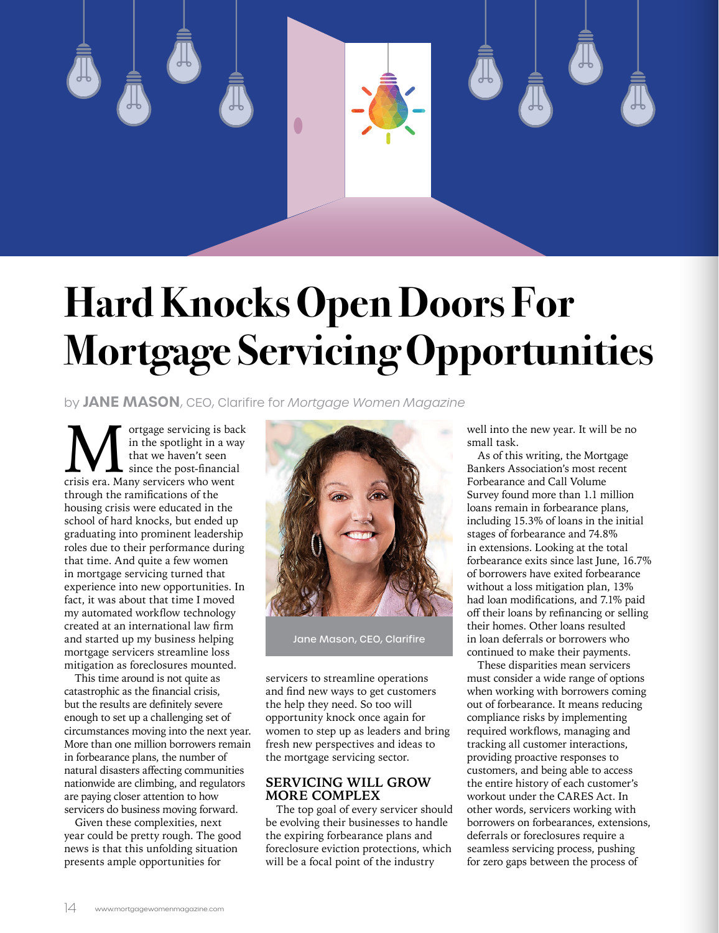

## **Hard Knocks Open Doors For Mortgage Servicing Opportunities**

by **JANE MASON**, CEO, Clarifire for *Mortgage Women Magazine*

**Multimary of the spotlight in a way** that we haven't seen since the post-financial crisis era. Many servicers who went in the spotlight in a way that we haven't seen since the post-financial through the ramifications of the housing crisis were educated in the school of hard knocks, but ended up graduating into prominent leadership roles due to their performance during that time. And quite a few women in mortgage servicing turned that experience into new opportunities. In fact, it was about that time I moved my automated workflow technology created at an international law firm and started up my business helping mortgage servicers streamline loss mitigation as foreclosures mounted.

This time around is not quite as catastrophic as the financial crisis, but the results are definitely severe enough to set up a challenging set of circumstances moving into the next year. More than one million borrowers remain in forbearance plans, the number of natural disasters affecting communities nationwide are climbing, and regulators are paying closer attention to how servicers do business moving forward.

Given these complexities, next year could be pretty rough. The good news is that this unfolding situation presents ample opportunities for



Jane Mason, CEO, Clarifire

servicers to streamline operations and find new ways to get customers the help they need. So too will opportunity knock once again for women to step up as leaders and bring fresh new perspectives and ideas to the mortgage servicing sector.

## **SERVICING WILL GROW MORE COMPLEX**

The top goal of every servicer should be evolving their businesses to handle the expiring forbearance plans and foreclosure eviction protections, which will be a focal point of the industry

well into the new year. It will be no small task.

As of this writing, the Mortgage Bankers Association's most recent Forbearance and Call Volume Survey found more than 1.1 million loans remain in forbearance plans, including 15.3% of loans in the initial stages of forbearance and 74.8% in extensions. Looking at the total forbearance exits since last June, 16.7% of borrowers have exited forbearance without a loss mitigation plan, 13% had loan modifications, and 7.1% paid off their loans by refinancing or selling their homes. Other loans resulted in loan deferrals or borrowers who continued to make their payments.

These disparities mean servicers must consider a wide range of options when working with borrowers coming out of forbearance. It means reducing compliance risks by implementing required workflows, managing and tracking all customer interactions, providing proactive responses to customers, and being able to access the entire history of each customer's workout under the CARES Act. In other words, servicers working with borrowers on forbearances, extensions, deferrals or foreclosures require a seamless servicing process, pushing for zero gaps between the process of